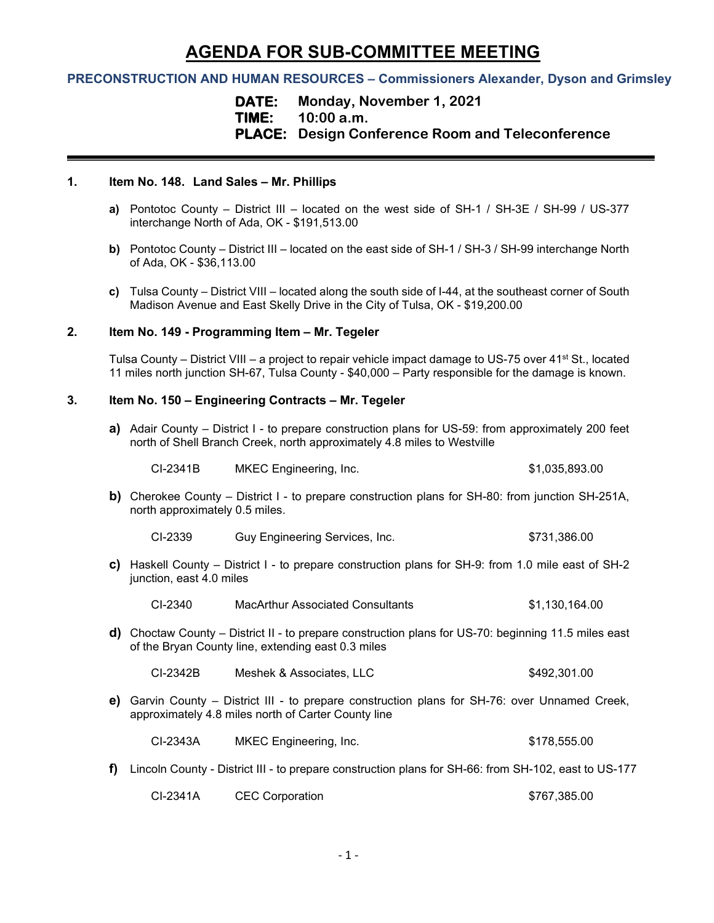# **AGENDA FOR SUB-COMMITTEE MEETING**

## **PRECONSTRUCTION AND HUMAN RESOURCES – Commissioners Alexander, Dyson and Grimsley**

**DATE: Monday, November 1, 2021 TIME: 10:00 a.m. PLACE: Design Conference Room and Teleconference**

#### **1. Item No. 148. Land Sales – Mr. Phillips**

- **a)** Pontotoc County District III located on the west side of SH-1 / SH-3E / SH-99 / US-377 interchange North of Ada, OK - \$191,513.00
- **b)** Pontotoc County District III located on the east side of SH-1 / SH-3 / SH-99 interchange North of Ada, OK - \$36,113.00
- **c)** Tulsa County District VIII located along the south side of I-44, at the southeast corner of South Madison Avenue and East Skelly Drive in the City of Tulsa, OK - \$19,200.00

#### **2. Item No. 149 - Programming Item – Mr. Tegeler**

Tulsa County – District VIII – a project to repair vehicle impact damage to US-75 over 41<sup>st</sup> St., located 11 miles north junction SH-67, Tulsa County - \$40,000 – Party responsible for the damage is known.

#### **3. Item No. 150 – Engineering Contracts – Mr. Tegeler**

**a)** Adair County – District I - to prepare construction plans for US-59: from approximately 200 feet north of Shell Branch Creek, north approximately 4.8 miles to Westville

| CI-2341B | MKEC Engineering, Inc. | \$1,035,893.00 |
|----------|------------------------|----------------|
|          |                        |                |

- **b)** Cherokee County District I to prepare construction plans for SH-80: from junction SH-251A, north approximately 0.5 miles.
	- CI-2339 Guy Engineering Services, Inc. 6731,386.00
- **c)** Haskell County District I to prepare construction plans for SH-9: from 1.0 mile east of SH-2 junction, east 4.0 miles

CI-2340 MacArthur Associated Consultants \$1,130,164.00

**d)** Choctaw County – District II - to prepare construction plans for US-70: beginning 11.5 miles east of the Bryan County line, extending east 0.3 miles

| CI-2342B<br>Meshek & Associates, LLC | \$492,301.00 |
|--------------------------------------|--------------|
|--------------------------------------|--------------|

**e)** Garvin County – District III - to prepare construction plans for SH-76: over Unnamed Creek, approximately 4.8 miles north of Carter County line

CI-2343A MKEC Engineering, Inc. \$178,555.00

**f)** Lincoln County - District III - to prepare construction plans for SH-66: from SH-102, east to US-177

| <b>CEC Corporation</b><br>CI-2341A | \$767,385.00 |
|------------------------------------|--------------|
|------------------------------------|--------------|